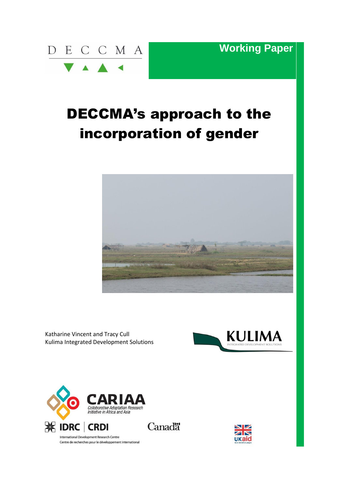

**Working Paper**

# DECCMA's approach to the incorporation of gender



Katharine Vincent and Tracy Cull Kulima Integrated Development Solutions





Centre de recherches pour le développement international

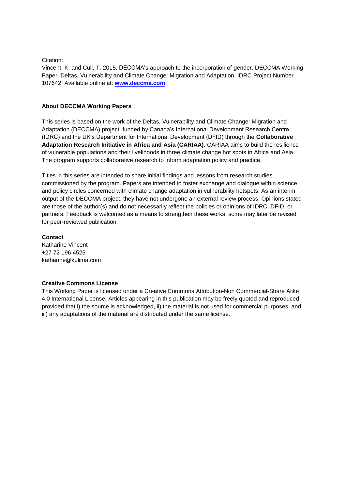#### Citation:

Vincent, K. and Cull, T. 2015. DECCMA's approach to the incorporation of gender. DECCMA Working Paper, Deltas, Vulnerability and Climate Change: Migration and Adaptation, IDRC Project Number 107642. Available online at: **[www.deccma.com](http://www.deccma.com/)**

#### **About DECCMA Working Papers**

This series is based on the work of the Deltas, Vulnerability and Climate Change: Migration and Adaptation (DECCMA) project, funded by Canada's International Development Research Centre (IDRC) and the UK's Department for International Development (DFID) through the **Collaborative Adaptation Research Initiative in Africa and Asia (CARIAA)**. CARIAA aims to build the resilience of vulnerable populations and their livelihoods in three climate change hot spots in Africa and Asia. The program supports collaborative research to inform adaptation policy and practice.

Titles in this series are intended to share initial findings and lessons from research studies commissioned by the program. Papers are intended to foster exchange and dialogue within science and policy circles concerned with climate change adaptation in vulnerability hotspots. As an interim output of the DECCMA project, they have not undergone an external review process. Opinions stated are those of the author(s) and do not necessarily reflect the policies or opinions of IDRC, DFID, or partners. Feedback is welcomed as a means to strengthen these works: some may later be revised for peer-reviewed publication.

#### **Contact**

Katharine Vincent +27 72 196 4525 katharine@kulima.com

#### **Creative Commons License**

This Working Paper is licensed under a Creative Commons Attribution-Non Commercial-Share Alike 4.0 International License. Articles appearing in this publication may be freely quoted and reproduced provided that i) the source is acknowledged, ii) the material is not used for commercial purposes, and iii) any adaptations of the material are distributed under the same license.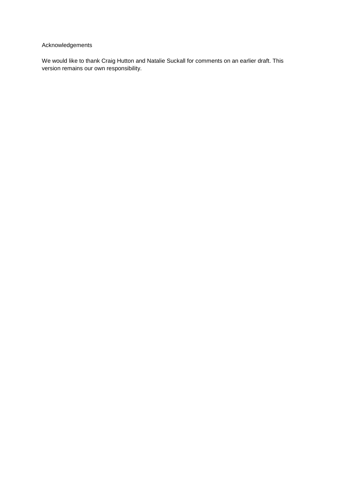## Acknowledgements

We would like to thank Craig Hutton and Natalie Suckall for comments on an earlier draft. This version remains our own responsibility.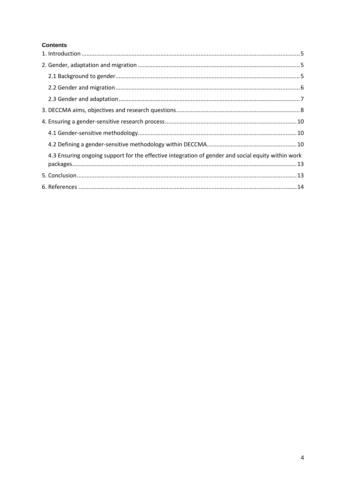### **Contents**

| 4.3 Ensuring ongoing support for the effective integration of gender and social equity within work |  |
|----------------------------------------------------------------------------------------------------|--|
|                                                                                                    |  |
|                                                                                                    |  |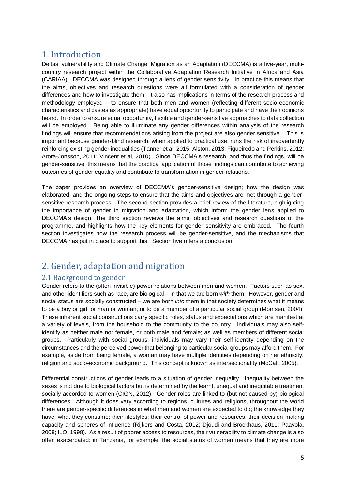# <span id="page-4-0"></span>1. Introduction

Deltas, vulnerability and Climate Change; Migration as an Adaptation (DECCMA) is a five-year, multicountry research project within the Collaborative Adaptation Research Initiative in Africa and Asia (CARIAA). DECCMA was designed through a lens of gender sensitivity. In practice this means that the aims, objectives and research questions were all formulated with a consideration of gender differences and how to investigate them. It also has implications in terms of the research process and methodology employed – to ensure that both men and women (reflecting different socio-economic characteristics and castes as appropriate) have equal opportunity to participate and have their opinions heard. In order to ensure equal opportunity, flexible and gender-sensitive approaches to data collection will be employed. Being able to illuminate any gender differences within analysis of the research findings will ensure that recommendations arising from the project are also gender sensitive. This is important because gender-blind research, when applied to practical use, runs the risk of inadvertently reinforcing existing gender inequalities (Tanner et al, 2015; Alston, 2013; Figueiredo and Perkins, 2012; Arora-Jonsson, 2011; Vincent et al, 2010). Since DECCMA's research, and thus the findings, will be gender-sensitive, this means that the practical application of those findings can contribute to achieving outcomes of gender equality and contribute to transformation in gender relations.

The paper provides an overview of DECCMA's gender-sensitive design; how the design was elaborated; and the ongoing steps to ensure that the aims and objectives are met through a gendersensitive research process. The second section provides a brief review of the literature, highlighting the importance of gender in migration and adaptation, which inform the gender lens applied to DECCMA's design. The third section reviews the aims, objectives and research questions of the programme, and highlights how the key elements for gender sensitivity are embraced. The fourth section investigates how the research process will be gender-sensitive, and the mechanisms that DECCMA has put in place to support this. Section five offers a conclusion.

# <span id="page-4-1"></span>2. Gender, adaptation and migration

# <span id="page-4-2"></span>2.1 Background to gender

Gender refers to the (often invisible) power relations between men and women. Factors such as sex, and other identifiers such as race, are biological – in that we are born *with* them. However, gender and social status are socially constructed – we are born *into* them in that society determines what it means to be a boy or girl, or man or woman, or to be a member of a particular social group (Momsen, 2004). These inherent social constructions carry specific roles, status and expectations which are manifest at a variety of levels, from the household to the community to the country. Individuals may also selfidentify as neither male nor female, or both male and female; as well as members of different social groups. Particularly with social groups, individuals may vary their self-identity depending on the circumstances and the perceived power that belonging to particular social groups may afford them. For example, aside from being female, a woman may have multiple identities depending on her ethnicity, religion and socio-economic background. This concept is known as intersectionality (McCall, 2005).

Differential constructions of gender leads to a situation of gender inequality. Inequality between the sexes is not due to biological factors but is determined by the learnt, unequal and inequitable treatment socially accorded to women (CIGN, 2012). Gender roles are linked to (but not caused by) biological differences. Although it does vary according to regions, cultures and religions, throughout the world there are gender-specific differences in what men and women are expected to do; the knowledge they have; what they consume; their lifestyles; their control of power and resources; their decision-making capacity and spheres of influence (Rijkers and Costa, 2012; Djoudi and Brockhaus, 2011; Paavola, 2008; ILO, 1998). As a result of poorer access to resources, their vulnerability to climate change is also often exacerbated: in Tanzania, for example, the social status of women means that they are more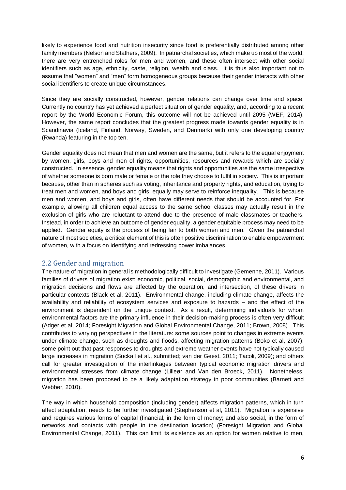likely to experience food and nutrition insecurity since food is preferentially distributed among other family members (Nelson and Stathers, 2009). In patriarchal societies, which make up most of the world, there are very entrenched roles for men and women, and these often intersect with other social identifiers such as age, ethnicity, caste, religion, wealth and class. It is thus also important not to assume that "women" and "men" form homogeneous groups because their gender interacts with other social identifiers to create unique circumstances.

Since they are socially constructed, however, gender relations can change over time and space. Currently no country has yet achieved a perfect situation of gender equality, and, according to a recent report by the World Economic Forum, this outcome will not be achieved until 2095 (WEF, 2014). However, the same report concludes that the greatest progress made towards gender equality is in Scandinavia (Iceland, Finland, Norway, Sweden, and Denmark) with only one developing country (Rwanda) featuring in the top ten.

Gender equality does not mean that men and women are the same, but it refers to the equal enjoyment by women, girls, boys and men of rights, opportunities, resources and rewards which are socially constructed. In essence, gender equality means that rights and opportunities are the same irrespective of whether someone is born male or female or the role they choose to fulfil in society. This is important because, other than in spheres such as voting, inheritance and property rights, and education, trying to treat men and women, and boys and girls, equally may serve to reinforce inequality. This is because men and women, and boys and girls, often have different needs that should be accounted for. For example, allowing all children equal access to the same school classes may actually result in the exclusion of girls who are reluctant to attend due to the presence of male classmates or teachers. Instead, in order to achieve an outcome of gender equality, a gender equitable process may need to be applied. Gender equity is the process of being fair to both women and men. Given the patriarchal nature of most societies, a critical element of this is often positive discrimination to enable empowerment of women, with a focus on identifying and redressing power imbalances.

### <span id="page-5-0"></span>2.2 Gender and migration

The nature of migration in general is methodologically difficult to investigate (Gemenne, 2011). Various families of drivers of migration exist: economic, political, social, demographic and environmental, and migration decisions and flows are affected by the operation, and intersection, of these drivers in particular contexts (Black et al, 2011). Environmental change, including climate change, affects the availability and reliability of ecosystem services and exposure to hazards – and the effect of the environment is dependent on the unique context. As a result, determining individuals for whom environmental factors are the primary influence in their decision-making process is often very difficult (Adger et al, 2014; Foresight Migration and Global Environmental Change, 2011; Brown, 2008). This contributes to varying perspectives in the literature: some sources point to changes in extreme events under climate change, such as droughts and floods, affecting migration patterns (Boko et al, 2007); some point out that past responses to droughts and extreme weather events have not typically caused large increases in migration (Suckall et al., submitted; van der Geest, 2011; Tacoli, 2009); and others call for greater investigation of the interlinkages between typical economic migration drivers and environmental stresses from climate change (Lilleør and Van den Broeck, 2011). Nonetheless, migration has been proposed to be a likely adaptation strategy in poor communities (Barnett and Webber, 2010).

The way in which household composition (including gender) affects migration patterns, which in turn affect adaptation, needs to be further investigated (Stephenson et al, 2011). Migration is expensive and requires various forms of capital (financial, in the form of money; and also social, in the form of networks and contacts with people in the destination location) (Foresight Migration and Global Environmental Change, 2011). This can limit its existence as an option for women relative to men,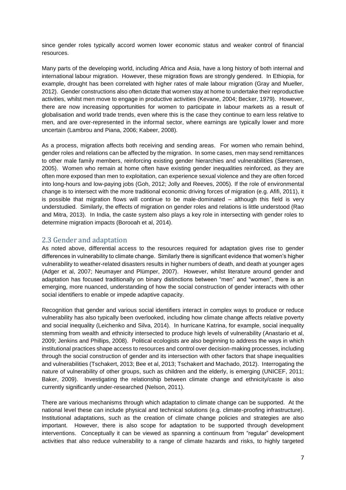since gender roles typically accord women lower economic status and weaker control of financial resources.

Many parts of the developing world, including Africa and Asia, have a long history of both internal and international labour migration. However, these migration flows are strongly gendered. In Ethiopia, for example, drought has been correlated with higher rates of male labour migration (Gray and Mueller, 2012). Gender constructions also often dictate that women stay at home to undertake their reproductive activities, whilst men move to engage in productive activities (Kevane, 2004; Becker, 1979). However, there are now increasing opportunities for women to participate in labour markets as a result of globalisation and world trade trends, even where this is the case they continue to earn less relative to men, and are over-represented in the informal sector, where earnings are typically lower and more uncertain (Lambrou and Piana, 2006; Kabeer, 2008).

As a process, migration affects both receiving and sending areas. For women who remain behind, gender roles and relations can be affected by the migration. In some cases, men may send remittances to other male family members, reinforcing existing gender hierarchies and vulnerabilities (Sørensen, 2005). Women who remain at home often have existing gender inequalities reinforced, as they are often more exposed than men to exploitation, can experience sexual violence and they are often forced into long-hours and low-paying jobs (Goh, 2012; Jolly and Reeves, 2005). If the role of environmental change is to intersect with the more traditional economic driving forces of migration (e.g. Afifi, 2011), it is possible that migration flows will continue to be male-dominated – although this field is very understudied. Similarly, the effects of migration on gender roles and relations is little understood (Rao and Mitra, 2013). In India, the caste system also plays a key role in intersecting with gender roles to determine migration impacts (Borooah et al, 2014).

### <span id="page-6-0"></span>2.3 Gender and adaptation

As noted above, differential access to the resources required for adaptation gives rise to gender differences in vulnerability to climate change. Similarly there is significant evidence that women's higher vulnerability to weather-related disasters results in higher numbers of death, and death at younger ages (Adger et al, 2007; Neumayer and Plümper, 2007). However, whilst literature around gender and adaptation has focused traditionally on binary distinctions between "men" and "women", there is an emerging, more nuanced, understanding of how the social construction of gender interacts with other social identifiers to enable or impede adaptive capacity.

Recognition that gender and various social identifiers interact in complex ways to produce or reduce vulnerability has also typically been overlooked, including how climate change affects relative poverty and social inequality (Leichenko and Silva, 2014). In hurricane Katrina, for example, social inequality stemming from wealth and ethnicity intersected to produce high levels of vulnerability (Anastario et al, 2009; Jenkins and Phillips, 2008). Political ecologists are also beginning to address the ways in which institutional practices shape access to resources and control over decision-making processes, including through the social construction of gender and its intersection with other factors that shape inequalities and vulnerabilities (Tschakert, 2013; Bee et al, 2013; Tschakert and Machado, 2012). Interrogating the nature of vulnerability of other groups, such as children and the elderly, is emerging (UNICEF, 2011; Baker, 2009). Investigating the relationship between climate change and ethnicity/caste is also currently significantly under-researched (Nelson, 2011).

There are various mechanisms through which adaptation to climate change can be supported. At the national level these can include physical and technical solutions (e.g. climate-proofing infrastructure). Institutional adaptations, such as the creation of climate change policies and strategies are also important. However, there is also scope for adaptation to be supported through development interventions. Conceptually it can be viewed as spanning a continuum from "regular" development activities that also reduce vulnerability to a range of climate hazards and risks, to highly targeted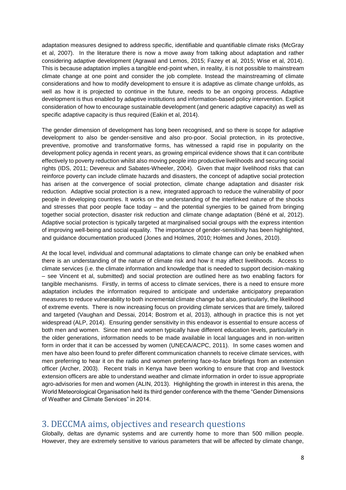adaptation measures designed to address specific, identifiable and quantifiable climate risks (McGray et al, 2007). In the literature there is now a move away from talking about adaptation and rather considering adaptive development (Agrawal and Lemos, 2015; Fazey et al, 2015; Wise et al, 2014). This is because adaptation implies a tangible end-point when, in reality, it is not possible to mainstream climate change at one point and consider the job complete. Instead the mainstreaming of climate considerations and how to modify development to ensure it is adaptive as climate change unfolds, as well as how it is projected to continue in the future, needs to be an ongoing process. Adaptive development is thus enabled by adaptive institutions and information-based policy intervention. Explicit consideration of how to encourage sustainable development (and generic adaptive capacity) as well as specific adaptive capacity is thus required (Eakin et al, 2014).

The gender dimension of development has long been recognised, and so there is scope for adaptive development to also be gender-sensitive and also pro-poor. Social protection, in its protective, preventive, promotive and transformative forms, has witnessed a rapid rise in popularity on the development policy agenda in recent years, as growing empirical evidence shows that it can contribute effectively to poverty reduction whilst also moving people into productive livelihoods and securing social rights (IDS, 2011; Devereux and Sabates-Wheeler, 2004). Given that major livelihood risks that can reinforce poverty can include climate hazards and disasters, the concept of adaptive social protection has arisen at the convergence of social protection, climate change adaptation and disaster risk reduction. Adaptive social protection is a new, integrated approach to reduce the vulnerability of poor people in developing countries. It works on the understanding of the interlinked nature of the shocks and stresses that poor people face today – and the potential synergies to be gained from bringing together social protection, disaster risk reduction and climate change adaptation (Béné et al, 2012). Adaptive social protection is typically targeted at marginalised social groups with the express intention of improving well-being and social equality. The importance of gender-sensitivity has been highlighted, and guidance documentation produced (Jones and Holmes, 2010; Holmes and Jones, 2010).

At the local level, individual and communal adaptations to climate change can only be enabked when there is an understanding of the nature of climate risk and how it may affect livelihoods. Access to climate services (i.e. the climate information and knowledge that is needed to support decision-making – see Vincent et al, submitted) and social protection are outlined here as two enabling factors for tangible mechanisms. Firstly, in terms of access to climate services, there is a need to ensure more adaptation includes the information required to anticipate and undertake anticipatory preparation measures to reduce vulnerability to both incremental climate change but also, particularly, the likelihood of extreme events. There is now increasing focus on providing climate services that are timely, tailored and targeted (Vaughan and Dessai, 2014; Bostrom et al, 2013), although in practice this is not yet widespread (ALP, 2014). Ensuring gender sensitivity in this endeavor is essential to ensure access of both men and women. Since men and women typically have different education levels, particularly in the older generations, information needs to be made available in local languages and in non-written form in order that it can be accessed by women (UNECA/ACPC, 2011). In some cases women and men have also been found to prefer different communication channels to receive climate services, with men preferring to hear it on the radio and women preferring face-to-face briefings from an extension officer (Archer, 2003). Recent trials in Kenya have been working to ensure that crop and livestock extension officers are able to understand weather and climate information in order to issue appropriate agro-advisories for men and women (ALIN, 2013). Highlighting the growth in interest in this arena, the World Meteorological Organisation held its third gender conference with the theme "Gender Dimensions of Weather and Climate Services" in 2014.

# <span id="page-7-0"></span>3. DECCMA aims, objectives and research questions

Globally, deltas are dynamic systems and are currently home to more than 500 million people. However, they are extremely sensitive to various parameters that will be affected by climate change,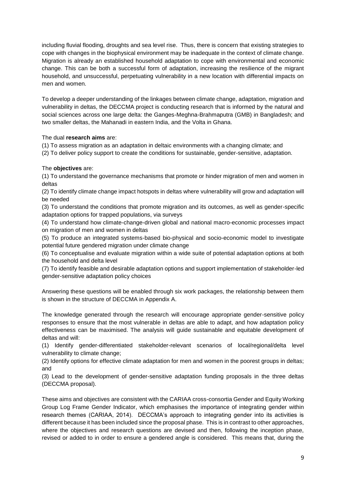including fluvial flooding, droughts and sea level rise. Thus, there is concern that existing strategies to cope with changes in the biophysical environment may be inadequate in the context of climate change. Migration is already an established household adaptation to cope with environmental and economic change. This can be both a successful form of adaptation, increasing the resilience of the migrant household, and unsuccessful, perpetuating vulnerability in a new location with differential impacts on men and women.

To develop a deeper understanding of the linkages between climate change, adaptation, migration and vulnerability in deltas, the DECCMA project is conducting research that is informed by the natural and social sciences across one large delta: the Ganges-Meghna-Brahmaputra (GMB) in Bangladesh; and two smaller deltas, the Mahanadi in eastern India, and the Volta in Ghana.

### The dual **research aims** are:

(1) To assess migration as an adaptation in deltaic environments with a changing climate; and

(2) To deliver policy support to create the conditions for sustainable, gender-sensitive, adaptation.

### The **objectives** are:

(1) To understand the governance mechanisms that promote or hinder migration of men and women in deltas

(2) To identify climate change impact hotspots in deltas where vulnerability will grow and adaptation will be needed

(3) To understand the conditions that promote migration and its outcomes, as well as gender-specific adaptation options for trapped populations, via surveys

(4) To understand how climate-change-driven global and national macro-economic processes impact on migration of men and women in deltas

(5) To produce an integrated systems-based bio-physical and socio-economic model to investigate potential future gendered migration under climate change

(6) To conceptualise and evaluate migration within a wide suite of potential adaptation options at both the household and delta level

(7) To identify feasible and desirable adaptation options and support implementation of stakeholder-led gender-sensitive adaptation policy choices

Answering these questions will be enabled through six work packages, the relationship between them is shown in the structure of DECCMA in Appendix A.

The knowledge generated through the research will encourage appropriate gender-sensitive policy responses to ensure that the most vulnerable in deltas are able to adapt, and how adaptation policy effectiveness can be maximised. The analysis will guide sustainable and equitable development of deltas and will:

(1) Identify gender-differentiated stakeholder-relevant scenarios of local/regional/delta level vulnerability to climate change;

(2) Identify options for effective climate adaptation for men and women in the poorest groups in deltas; and

(3) Lead to the development of gender-sensitive adaptation funding proposals in the three deltas (DECCMA proposal).

These aims and objectives are consistent with the CARIAA cross-consortia Gender and Equity Working Group Log Frame Gender Indicator, which emphasises the importance of integrating gender within research themes (CARIAA, 2014). DECCMA's approach to integrating gender into its activities is different because it has been included since the proposal phase. This is in contrast to other approaches, where the objectives and research questions are devised and then, following the inception phase, revised or added to in order to ensure a gendered angle is considered. This means that, during the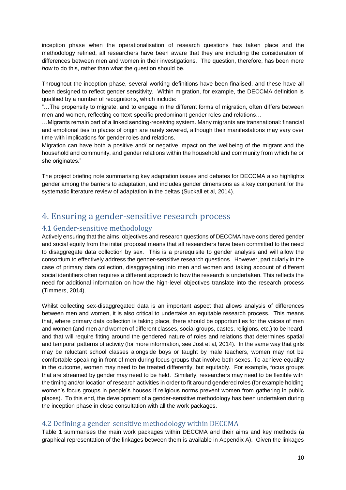inception phase when the operationalisation of research questions has taken place and the methodology refined, all researchers have been aware that they are including the consideration of differences between men and women in their investigations. The question, therefore, has been more *how* to do this, rather than what the question should be.

Throughout the inception phase, several working definitions have been finalised, and these have all been designed to reflect gender sensitivity. Within migration, for example, the DECCMA definition is qualified by a number of recognitions, which include:

"…The propensity to migrate, and to engage in the different forms of migration, often differs between men and women, reflecting context-specific predominant gender roles and relations…

…Migrants remain part of a linked sending-receiving system. Many migrants are transnational: financial and emotional ties to places of origin are rarely severed, although their manifestations may vary over time with implications for gender roles and relations.

Migration can have both a positive and/ or negative impact on the wellbeing of the migrant and the household and community, and gender relations within the household and community from which he or she originates."

The project briefing note summarising key adaptation issues and debates for DECCMA also highlights gender among the barriers to adaptation, and includes gender dimensions as a key component for the systematic literature review of adaptation in the deltas (Suckall et al, 2014).

# <span id="page-9-0"></span>4. Ensuring a gender-sensitive research process

## <span id="page-9-1"></span>4.1 Gender-sensitive methodology

Actively ensuring that the aims, objectives and research questions of DECCMA have considered gender and social equity from the initial proposal means that all researchers have been committed to the need to disaggregate data collection by sex. This is a prerequisite to gender analysis and will allow the consortium to effectively address the gender-sensitive research questions. However, particularly in the case of primary data collection, disaggregating into men and women and taking account of different social identifiers often requires a different approach to how the research is undertaken. This reflects the need for additional information on how the high-level objectives translate into the research process (Timmers, 2014).

Whilst collecting sex-disaggregated data is an important aspect that allows analysis of differences between men and women, it is also critical to undertake an equitable research process. This means that, where primary data collection is taking place, there should be opportunities for the voices of men and women (and men and women of different classes, social groups, castes, religions, etc.) to be heard, and that will require fitting around the gendered nature of roles and relations that determines spatial and temporal patterns of activity (for more information, see Jost et al, 2014). In the same way that girls may be reluctant school classes alongside boys or taught by male teachers, women may not be comfortable speaking in front of men during focus groups that involve both sexes. To achieve equality in the outcome, women may need to be treated differently, but equitably. For example, focus groups that are streamed by gender may need to be held. Similarly, researchers may need to be flexible with the timing and/or location of research activities in order to fit around gendered roles (for example holding women's focus groups in people's houses if religious norms prevent women from gathering in public places). To this end, the development of a gender-sensitive methodology has been undertaken during the inception phase in close consultation with all the work packages.

### <span id="page-9-2"></span>4.2 Defining a gender-sensitive methodology within DECCMA

Table 1 summarises the main work packages within DECCMA and their aims and key methods (a graphical representation of the linkages between them is available in Appendix A). Given the linkages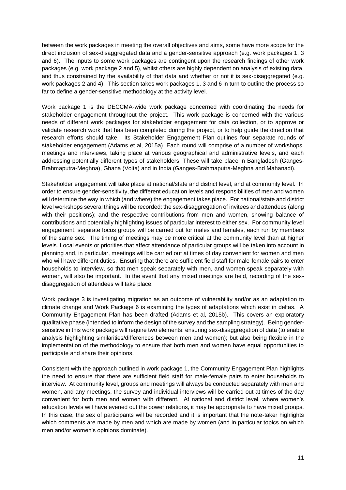between the work packages in meeting the overall objectives and aims, some have more scope for the direct inclusion of sex-disaggregated data and a gender-sensitive approach (e.g. work packages 1, 3 and 6). The inputs to some work packages are contingent upon the research findings of other work packages (e.g. work package 2 and 5), whilst others are highly dependent on analysis of existing data, and thus constrained by the availability of that data and whether or not it is sex-disaggregated (e.g. work packages 2 and 4). This section takes work packages 1, 3 and 6 in turn to outline the process so far to define a gender-sensitive methodology at the activity level.

Work package 1 is the DECCMA-wide work package concerned with coordinating the needs for stakeholder engagement throughout the project. This work package is concerned with the various needs of different work packages for stakeholder engagement for data collection, or to approve or validate research work that has been completed during the project, or to help guide the direction that research efforts should take. Its Stakeholder Engagement Plan outlines four separate rounds of stakeholder engagement (Adams et al, 2015a). Each round will comprise of a number of workshops, meetings and interviews, taking place at various geographical and administrative levels, and each addressing potentially different types of stakeholders. These will take place in Bangladesh (Ganges-Brahmaputra-Meghna), Ghana (Volta) and in India (Ganges-Brahmaputra-Meghna and Mahanadi).

Stakeholder engagement will take place at national/state and district level, and at community level. In order to ensure gender-sensitivity, the different education levels and responsibilities of men and women will determine the way in which (and where) the engagement takes place. For national/state and district level workshops several things will be recorded: the sex-disaggregation of invitees and attendees (along with their positions); and the respective contributions from men and women, showing balance of contributions and potentially highlighting issues of particular interest to either sex. For community level engagement, separate focus groups will be carried out for males and females, each run by members of the same sex. The timing of meetings may be more critical at the community level than at higher levels. Local events or priorities that affect attendance of particular groups will be taken into account in planning and, in particular, meetings will be carried out at times of day convenient for women and men who will have different duties. Ensuring that there are sufficient field staff for male-female pairs to enter households to interview, so that men speak separately with men, and women speak separately with women, will also be important. In the event that any mixed meetings are held, recording of the sexdisaggregation of attendees will take place.

Work package 3 is investigating migration as an outcome of vulnerability and/or as an adaptation to climate change and Work Package 6 is examining the types of adaptations which exist in deltas. A Community Engagement Plan has been drafted (Adams et al, 2015b). This covers an exploratory qualitative phase (intended to inform the design of the survey and the sampling strategy). Being gendersensitive in this work package will require two elements: ensuring sex-disaggregation of data (to enable analysis highlighting similarities/differences between men and women); but also being flexible in the implementation of the methodology to ensure that both men and women have equal opportunities to participate and share their opinions.

Consistent with the approach outlined in work package 1, the Community Engagement Plan highlights the need to ensure that there are sufficient field staff for male-female pairs to enter households to interview. At community level, groups and meetings will always be conducted separately with men and women, and any meetings, the survey and individual interviews will be carried out at times of the day convenient for both men and women with different. At national and district level, where women's education levels will have evened out the power relations, it may be appropriate to have mixed groups. In this case, the sex of participants will be recorded and it is important that the note-taker highlights which comments are made by men and which are made by women (and in particular topics on which men and/or women's opinions dominate).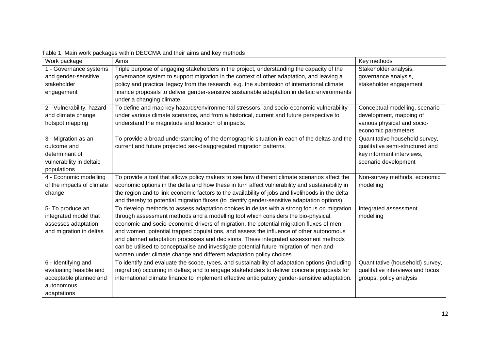| Work package              | Aims                                                                                             | Key methods                      |
|---------------------------|--------------------------------------------------------------------------------------------------|----------------------------------|
| 1 - Governance systems    | Triple purpose of engaging stakeholders in the project, understanding the capacity of the        | Stakeholder analysis,            |
| and gender-sensitive      | governance system to support migration in the context of other adaptation, and leaving a         | governance analysis,             |
| stakeholder               | policy and practical legacy from the research, e.g. the submission of international climate      | stakeholder engagement           |
| engagement                | finance proposals to deliver gender-sensitive sustainable adaptation in deltaic environments     |                                  |
|                           | under a changing climate.                                                                        |                                  |
| 2 - Vulnerability, hazard | To define and map key hazards/environmental stressors, and socio-economic vulnerability          | Conceptual modelling, scenario   |
| and climate change        | under various climate scenarios, and from a historical, current and future perspective to        | development, mapping of          |
| hotspot mapping           | understand the magnitude and location of impacts.                                                | various physical and socio-      |
|                           |                                                                                                  | economic parameters              |
| 3 - Migration as an       | To provide a broad understanding of the demographic situation in each of the deltas and the      | Quantitative household survey,   |
| outcome and               | current and future projected sex-disaggregated migration patterns.                               | qualitative semi-structured and  |
| determinant of            |                                                                                                  | key informant interviews,        |
| vulnerability in deltaic  |                                                                                                  | scenario development             |
| populations               |                                                                                                  |                                  |
| 4 - Economic modelling    | To provide a tool that allows policy makers to see how different climate scenarios affect the    | Non-survey methods, economic     |
| of the impacts of climate | economic options in the delta and how these in turn affect vulnerability and sustainability in   | modelling                        |
| change                    | the region and to link economic factors to the availability of jobs and livelihoods in the delta |                                  |
|                           | and thereby to potential migration fluxes (to identify gender-sensitive adaptation options)      |                                  |
| 5- To produce an          | To develop methods to assess adaptation choices in deltas with a strong focus on migration       | Integrated assessment            |
| integrated model that     | through assessment methods and a modelling tool which considers the bio-physical,                | modelling                        |
| assesses adaptation       | economic and socio-economic drivers of migration, the potential migration fluxes of men          |                                  |
| and migration in deltas   | and women, potential trapped populations, and assess the influence of other autonomous           |                                  |
|                           | and planned adaptation processes and decisions. These integrated assessment methods              |                                  |
|                           | can be utilised to conceptualise and investigate potential future migration of men and           |                                  |
|                           | women under climate change and different adaptation policy choices.                              |                                  |
| 6 - Identifying and       | To identify and evaluate the scope, types, and sustainability of adaptation options (including   | Quantitative (household) survey, |
| evaluating feasible and   | migration) occurring in deltas; and to engage stakeholders to deliver concrete proposals for     | qualitative interviews and focus |
| acceptable planned and    | international climate finance to implement effective anticipatory gender-sensitive adaptation.   | groups, policy analysis          |
| autonomous                |                                                                                                  |                                  |
| adaptations               |                                                                                                  |                                  |

### Table 1: Main work packages within DECCMA and their aims and key methods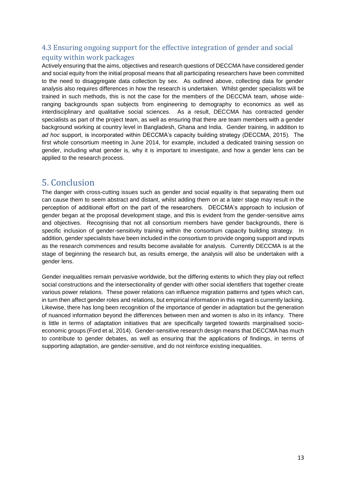# <span id="page-12-0"></span>4.3 Ensuring ongoing support for the effective integration of gender and social equity within work packages

Actively ensuring that the aims, objectives and research questions of DECCMA have considered gender and social equity from the initial proposal means that all participating researchers have been committed to the need to disaggregate data collection by sex. As outlined above, collecting data for gender analysis also requires differences in how the research is undertaken. Whilst gender specialists will be trained in such methods, this is not the case for the members of the DECCMA team, whose wideranging backgrounds span subjects from engineering to demography to economics as well as interdisciplinary and qualitative social sciences. As a result, DECCMA has contracted gender specialists as part of the project team, as well as ensuring that there are team members with a gender background working at country level in Bangladesh, Ghana and India. Gender training, in addition to *ad hoc* support, is incorporated within DECCMA's capacity building strategy (DECCMA, 2015). The first whole consortium meeting in June 2014, for example, included a dedicated training session on gender, including what gender is, why it is important to investigate, and how a gender lens can be applied to the research process.

# <span id="page-12-1"></span>5. Conclusion

The danger with cross-cutting issues such as gender and social equality is that separating them out can cause them to seem abstract and distant, whilst adding them on at a later stage may result in the perception of additional effort on the part of the researchers. DECCMA's approach to inclusion of gender began at the proposal development stage, and this is evident from the gender-sensitive aims and objectives. Recognising that not all consortium members have gender backgrounds, there is specific inclusion of gender-sensitivity training within the consortium capacity building strategy. In addition, gender specialists have been included in the consortium to provide ongoing support and inputs as the research commences and results become available for analysis. Currently DECCMA is at the stage of beginning the research but, as results emerge, the analysis will also be undertaken with a gender lens.

Gender inequalities remain pervasive worldwide, but the differing extents to which they play out reflect social constructions and the intersectionality of gender with other social identifiers that together create various power relations. These power relations can influence migration patterns and types which can, in turn then affect gender roles and relations, but empirical information in this regard is currently lacking. Likewise, there has long been recognition of the importance of gender in adaptation but the generation of nuanced information beyond the differences between men and women is also in its infancy. There is little in terms of adaptation initiatives that are specifically targeted towards marginalised socioeconomic groups (Ford et al, 2014). Gender-sensitive research design means that DECCMA has much to contribute to gender debates, as well as ensuring that the applications of findings, in terms of supporting adaptation, are gender-sensitive, and do not reinforce existing inequalities.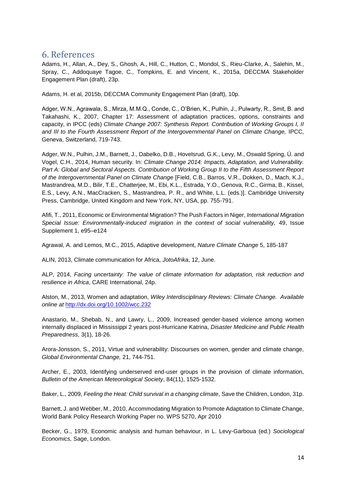# <span id="page-13-0"></span>6. References

Adams, H., Allan, A., Dey, S., Ghosh, A., Hill, C., Hutton, C., Mondol, S., Rieu-Clarke, A., Salehin, M., Spray, C., Addoquaye Tagoe, C., Tompkins, E. and Vincent, K., 2015a, DECCMA Stakeholder Engagement Plan (draft), 23p.

Adams, H. et al, 2015b, DECCMA Community Engagement Plan (draft), 10p.

Adger, W.N., Agrawala, S., Mirza, M.M.Q., Conde, C., O'Brien, K., Pulhin, J., Pulwarty, R., Smit, B. and Takahashi, K., 2007, Chapter 17: Assessment of adaptation practices, options, constraints and capacity, in IPCC (eds) *Climate Change 2007: Synthesis Report. Contribution of Working Groups I, II*  and III to the Fourth Assessment Report of the Intergovernmental Panel on Climate Change, IPCC, Geneva, Switzerland, 719-743.

Adger, W.N., Pulhin, J.M., Barnett, J., Dabelko, D.B., Hovelsrud, G.K., Levy, M., Oswald Spring, Ú. and Vogel, C.H., 2014, Human security. In: *Climate Change 2014: Impacts, Adaptation, and Vulnerability. Part A: Global and Sectoral Aspects. Contribution of Working Group II to the Fifth Assessment Report of the Intergovernmental Panel on Climate Change* [Field, C.B., Barros, V.R., Dokken, D., Mach, K.J., Mastrandrea, M.D., Bilir, T.E., Chatterjee, M., Ebi, K.L., Estrada, Y.O., Genova, R.C., Girma, B., Kissel, E.S., Levy, A.N., MacCracken, S., Mastrandrea, P. R., and White, L.L. (eds.)]. Cambridge University Press, Cambridge, United Kingdom and New York, NY, USA, pp. 755-791.

Afifi, T., 2011, Economic or Environmental Migration? The Push Factors in Niger, *International Migration Special Issue: Environmentally-induced migration in the context of social vulnerability,* 49, Issue Supplement 1, e95–e124

Agrawal, A. and Lemos, M.C., 2015, Adaptive development, *Nature Climate Change* 5, 185-187

ALIN, 2013, Climate communication for Africa, *JotoAfrika*, 12, June.

ALP, 2014, *Facing uncertainty: The value of climate information for adaptation, risk reduction and resilience in Africa*, CARE International, 24p.

Alston, M., 2013, Women and adaptation, *Wiley Interdisciplinary Reviews: Climate Change. Available online at* <http://dx.doi.org/10.1002/wcc.232>

Anastario, M., Shebab, N., and Lawry, L., 2009, Increased gender-based violence among women internally displaced in Mississippi 2 years post-Hurricane Katrina, *Disaster Medicine and Public Health Preparedness,* 3(1), 18-26.

Arora-Jonsson, S., 2011, Virtue and vulnerability: Discourses on women, gender and climate change, *Global Environmental Change,* 21, 744-751.

Archer, E., 2003, Identifying underserved end-user groups in the provision of climate information, *Bulletin of the American Meteorological Society*, 84(11), 1525-1532.

Baker, L., 2009, *Feeling the Heat: Child survival in a changing climate*, Save the Children, London, 31p.

Barnett, J. and Webber, M., 2010, Accommodating Migration to Promote Adaptation to Climate Change, World Bank Policy Research Working Paper no. WPS 5270, Apr 2010

Becker, G., 1979, Economic analysis and human behaviour, in L. Levy-Garboua (ed.) *Sociological Economics,* Sage, London.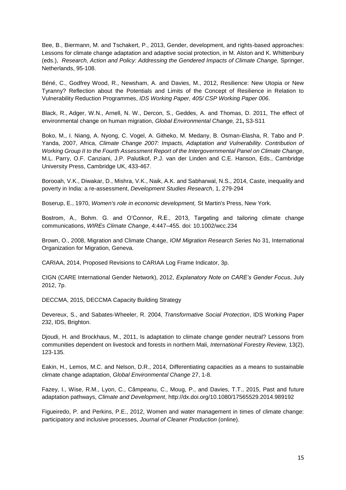Bee, B., Biermann, M. and Tschakert, P., 2013, Gender, development, and rights-based approaches: Lessons for climate change adaptation and adaptive social protection, in M. Alston and K. Whittenbury (eds.), *Research, Action and Policy: Addressing the Gendered Impacts of Climate Change,* Springer, Netherlands, 95-108.

Béné, C., Godfrey Wood, R., Newsham, A. and Davies, M., 2012, Resilience: New Utopia or New Tyranny? Reflection about the Potentials and Limits of the Concept of Resilience in Relation to Vulnerability Reduction Programmes, *IDS Working Paper, 405/ CSP Working Paper 006*.

Black, R., Adger, W.N., Arnell, N. W., Dercon, S., Geddes, A. and Thomas, D. 2011, The effect of environmental change on human migration, *Global Environmental Change,* 21**,** S3-S11

Boko, M., I. Niang, A. Nyong, C. Vogel, A. Githeko, M. Medany, B. Osman-Elasha, R. Tabo and P. Yanda, 2007, Africa, *Climate Change 2007: Impacts, Adaptation and Vulnerability. Contribution of Working Group II to the Fourth Assessment Report of the Intergovernmental Panel on Climate Change*, M.L. Parry, O.F. Canziani, J.P. Palutikof, P.J. van der Linden and C.E. Hanson, Eds., Cambridge University Press, Cambridge UK, 433-467.

Borooah, V.K., Diwakar, D., Mishra, V.K., Naik, A.K. and Sabharwal, N.S., 2014, Caste, inequality and poverty in India: a re-assessment, *Development Studies Research*, 1, 279-294

Boserup, E., 1970, *Women's role in economic development,* St Martin's Press, New York.

Bostrom, A., Bohm. G. and O'Connor, R.E., 2013, Targeting and tailoring climate change communications, *WIREs Climate Change*, 4:447–455. doi: 10.1002/wcc.234

Brown, O., 2008, Migration and Climate Change, *IOM Migration Research Series* No 31, International Organization for Migration, Geneva.

CARIAA, 2014, Proposed Revisions to CARIAA Log Frame Indicator, 3p.

CIGN (CARE International Gender Network), 2012, *Explanatory Note on CARE's Gender Focus*, July 2012, 7p.

DECCMA, 2015, DECCMA Capacity Building Strategy

Devereux, S., and Sabates-Wheeler, R. 2004, *Transformative Social Protection*, IDS Working Paper 232, IDS, Brighton.

Djoudi, H. and Brockhaus, M., 2011, Is adaptation to climate change gender neutral? Lessons from communities dependent on livestock and forests in northern Mali, *International Forestry Review,* 13(2), 123-135.

Eakin, H., Lemos, M.C. and Nelson, D.R., 2014, Differentiating capacities as a means to sustainable climate change adaptation, *Global Environmental Change* 27, 1-8.

Fazey, I., Wise, R.M., Lyon, C., Câmpeanu, C., Moug, P., and Davies, T.T., 2015, Past and future adaptation pathways, *Climate and Development*, http://dx.doi.org/10.1080/17565529.2014.989192

Figueiredo, P. and Perkins, P.E., 2012, Women and water management in times of climate change: participatory and inclusive processes, *Journal of Cleaner Production* (online).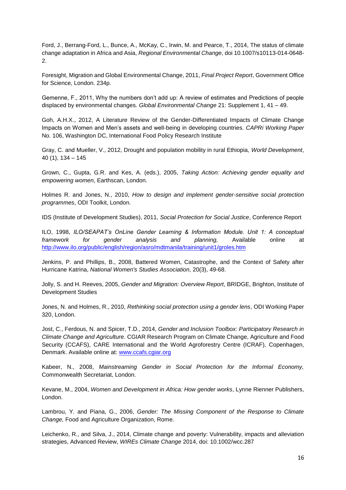Ford, J., Berrang-Ford, L., Bunce, A., McKay, C., Irwin, M. and Pearce, T., 2014, The status of climate change adaptation in Africa and Asia, *Regional Environmental Change*, doi 10.1007/s10113-014-0648- 2.

Foresight, Migration and Global Environmental Change, 2011, *Final Project Report*, Government Office for Science, London. 234p.

Gemenne, F., 2011, Why the numbers don't add up: A review of estimates and Predictions of people displaced by environmental changes. *Global Environmental Change* 21: Supplement 1, 41 – 49.

Goh, A.H.X., 2012, A Literature Review of the Gender-Differentiated Impacts of Climate Change Impacts on Women and Men's assets and well-being in developing countries. *CAPRi Working Paper* No. 106, Washington DC, International Food Policy Research Institute

Gray, C. and Mueller, V., 2012, Drought and population mobility in rural Ethiopia, *World Development*, 40 (1), 134 – 145

Grown, C., Gupta, G.R. and Kes, A. (eds.), 2005, *Taking Action: Achieving gender equality and empowering women*, Earthscan, London.

Holmes R. and Jones, N., 2010, *How to design and implement gender-sensitive social protection programmes*, ODI Toolkit, London.

IDS (Institute of Development Studies), 2011, *Social Protection for Social Justice*, Conference Report

ILO, 1998, *ILO/SEAPAT's OnLine Gender Learning & Information Module. Unit 1: A conceptual framework for gender analysis and planning,* Available online at <http://www.ilo.org/public/english/region/asro/mdtmanila/training/unit1/groles.htm>

Jenkins, P. and Phillips, B., 2008, Battered Women, Catastrophe, and the Context of Safety after Hurricane Katrina, *National Women's Studies Association,* 20(3), 49-68.

Jolly, S. and H. Reeves, 2005, *Gender and Migration: Overview Report*, BRIDGE, Brighton, Institute of Development Studies

Jones, N. and Holmes, R., 2010, *Rethinking social protection using a gender lens*, ODI Working Paper 320, London.

Jost, C., Ferdous, N. and Spicer, T.D., 2014, *Gender and Inclusion Toolbox: Participatory Research in Climate Change and Agriculture*. CGIAR Research Program on Climate Change, Agriculture and Food Security (CCAFS), CARE International and the World Agroforestry Centre (ICRAF), Copenhagen, Denmark. Available online at: [www.ccafs.cgiar.org](http://www.ccafs.cgiar.org/)

Kabeer, N., 2008, *Mainstreaming Gender in Social Protection for the Informal Economy,*  Commonwealth Secretariat, London.

Kevane, M., 2004, *Women and Development in Africa: How gender works*, Lynne Rienner Publishers, London.

Lambrou, Y. and Piana, G., 2006, *Gender: The Missing Component of the Response to Climate Change,* Food and Agriculture Organization, Rome.

Leichenko, R., and Silva, J., 2014, Climate change and poverty: Vulnerability, impacts and alleviation strategies, Advanced Review, *WIREs Climate Change* 2014, doi: 10.1002/wcc.287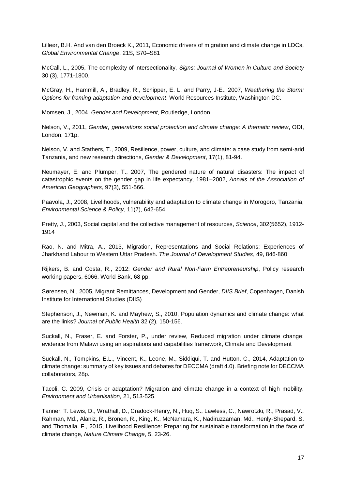Lilleør, B.H. And van den Broeck K., 2011, Economic drivers of migration and climate change in LDCs, *Global Environmental Change*, 21S, S70–S81

McCall, L., 2005, The complexity of intersectionality, *Signs: Journal of Women in Culture and Society* 30 (3), 1771-1800.

McGray, H., Hammill, A., Bradley, R., Schipper, E. L. and Parry, J-E., 2007, *Weathering the Storm: Options for framing adaptation and development*, World Resources Institute, Washington DC.

Momsen, J., 2004, *Gender and Development*, Routledge, London.

Nelson, V., 2011, *Gender, generations social protection and climate change: A thematic review*, ODI, London, 171p.

Nelson, V. and Stathers, T., 2009, Resilience, power, culture, and climate: a case study from semi-arid Tanzania, and new research directions, *Gender & Development*, 17(1), 81-94.

Neumayer, E. and Plümper, T., 2007, The gendered nature of natural disasters: The impact of catastrophic events on the gender gap in life expectancy, 1981–2002, *Annals of the Association of American Geographers,* 97(3), 551-566.

Paavola, J., 2008, Livelihoods, vulnerability and adaptation to climate change in Morogoro, Tanzania, *Environmental Science & Policy*, 11(7), 642-654.

Pretty, J., 2003, Social capital and the collective management of resources, *Science*, 302(5652), 1912- 1914

Rao, N. and Mitra, A., 2013, Migration, Representations and Social Relations: Experiences of Jharkhand Labour to Western Uttar Pradesh. *The Journal of Development Studies*, 49, 846-860

Rijkers, B. and Costa, R., 2012: *Gender and Rural Non-Farm Entrepreneurship*, Policy research working papers, 6066, World Bank, 68 pp.

Sørensen, N., 2005, Migrant Remittances, Development and Gender, *DIIS Brief*, Copenhagen, Danish Institute for International Studies (DIIS)

Stephenson, J., Newman, K. and Mayhew, S., 2010, Population dynamics and climate change: what are the links? *Journal of Public Health* 32 (2), 150-156.

Suckall, N., Fraser, E. and Forster, P., under review, Reduced migration under climate change: evidence from Malawi using an aspirations and capabilities framework, Climate and Development

Suckall, N., Tompkins, E.L., Vincent, K., Leone, M., Siddiqui, T. and Hutton, C., 2014, Adaptation to climate change: summary of key issues and debates for DECCMA (draft 4.0). Briefing note for DECCMA collaborators, 28p.

Tacoli, C. 2009, Crisis or adaptation? Migration and climate change in a context of high mobility. *Environment and Urbanisation,* 21, 513-525.

Tanner, T. Lewis, D., Wrathall, D., Cradock-Henry, N., Huq, S., Lawless, C., Nawrotzki, R., Prasad, V., Rahman, Md., Alaniz, R., Bronen, R., King, K., McNamara, K., Nadiruzzaman, Md., Henly-Shepard, S. and Thomalla, F., 2015, Livelihood Resilience: Preparing for sustainable transformation in the face of climate change, *Nature Climate Change*, 5, 23-26.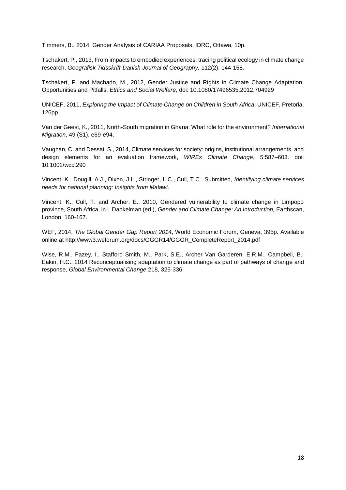Timmers, B., 2014, Gender Analysis of CARIAA Proposals, IDRC, Ottawa, 10p.

Tschakert, P., 2013, From impacts to embodied experiences: tracing political ecology in climate change research, *Geografisk Tidsskrift-Danish Journal of Geography,* 112(2), 144-158.

Tschakert, P. and Machado, M., 2012, Gender Justice and Rights in Climate Change Adaptation: Opportunities and Pitfalls, *Ethics and Social Welfare*, doi: 10.1080/17496535.2012.704929

UNICEF, 2011, *Exploring the Impact of Climate Change on Children in South Africa*, UNICEF, Pretoria, 126pp.

Van der Geest, K., 2011, North-South migration in Ghana: What role for the environment? *International Migration*, 49 (S1), e69-e94.

Vaughan, C. and Dessai, S., 2014, Climate services for society: origins, institutional arrangements, and design elements for an evaluation framework, *WIREs Climate Change*, 5:587–603. doi: 10.1002/wcc.290

Vincent, K., Dougill, A.J., Dixon, J.L., Stringer, L.C., Cull, T.C., Submitted, *Identifying climate services needs for national planning: Insights from Malawi.*

Vincent, K., Cull, T. and Archer, E., 2010, Gendered vulnerability to climate change in Limpopo province, South Africa, in I. Dankelman (ed.), *Gender and Climate Change: An Introduction,* Earthscan, London, 160-167.

WEF, 2014, *The Global Gender Gap Report 2014*, World Economic Forum, Geneva, 395p. Available online at http://www3.weforum.org/docs/GGGR14/GGGR\_CompleteReport\_2014.pdf

Wise, R.M., Fazey, I., Stafford Smith, M., Park, S.E., Archer Van Garderen, E.R.M., Campbell, B., Eakin, H.C., 2014 Reconceptualising adaptation to climate change as part of pathways of change and response, *Global Environmental Change* 218, 325-336